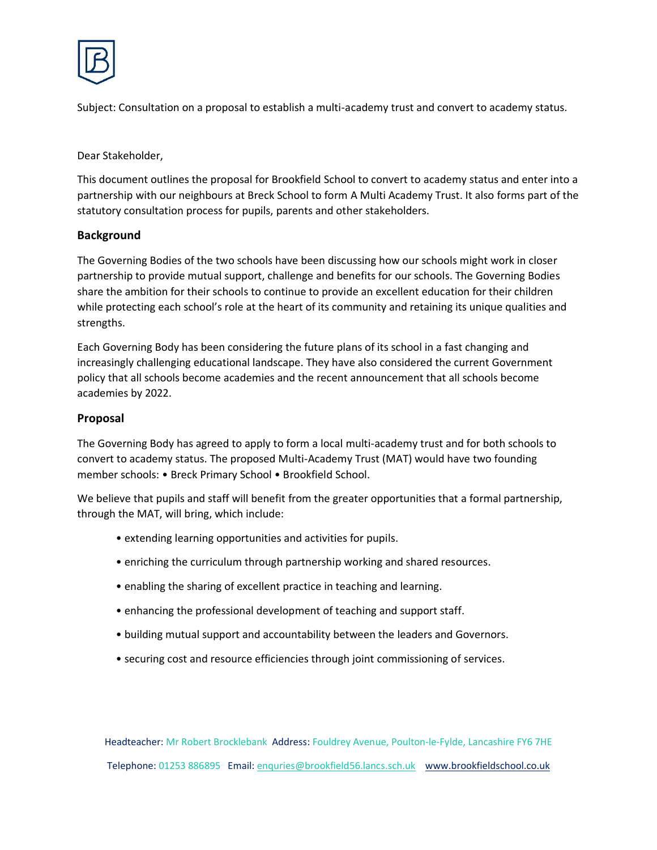

Subject: Consultation on a proposal to establish a multi-academy trust and convert to academy status.

Dear Stakeholder,

This document outlines the proposal for Brookfield School to convert to academy status and enter into a partnership with our neighbours at Breck School to form A Multi Academy Trust. It also forms part of the statutory consultation process for pupils, parents and other stakeholders.

### **Background**

The Governing Bodies of the two schools have been discussing how our schools might work in closer partnership to provide mutual support, challenge and benefits for our schools. The Governing Bodies share the ambition for their schools to continue to provide an excellent education for their children while protecting each school's role at the heart of its community and retaining its unique qualities and strengths.

Each Governing Body has been considering the future plans of its school in a fast changing and increasingly challenging educational landscape. They have also considered the current Government policy that all schools become academies and the recent announcement that all schools become academies by 2022.

## **Proposal**

The Governing Body has agreed to apply to form a local multi-academy trust and for both schools to convert to academy status. The proposed Multi-Academy Trust (MAT) would have two founding member schools: • Breck Primary School • Brookfield School.

We believe that pupils and staff will benefit from the greater opportunities that a formal partnership, through the MAT, will bring, which include:

- extending learning opportunities and activities for pupils.
- enriching the curriculum through partnership working and shared resources.
- enabling the sharing of excellent practice in teaching and learning.
- enhancing the professional development of teaching and support staff.
- building mutual support and accountability between the leaders and Governors.
- securing cost and resource efficiencies through joint commissioning of services.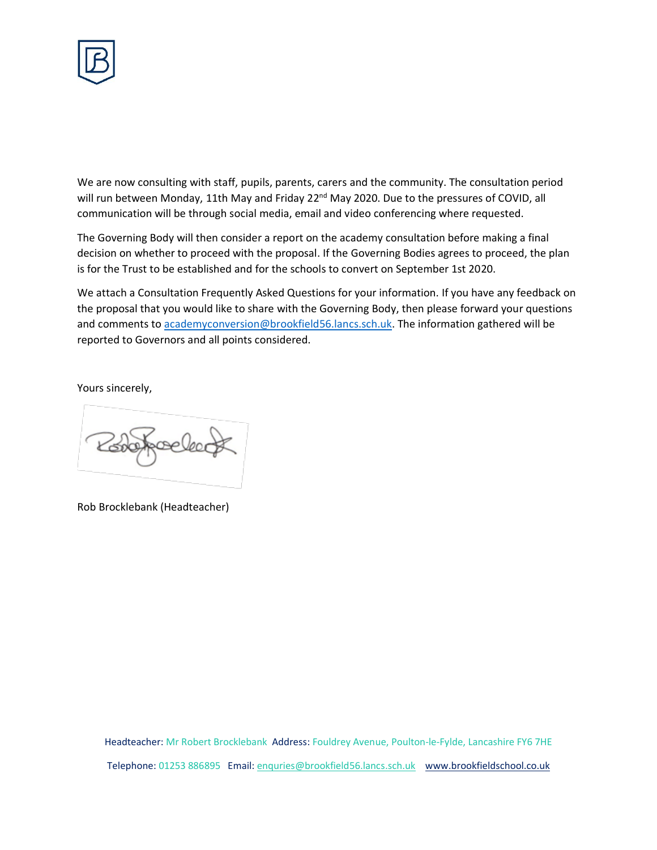

We are now consulting with staff, pupils, parents, carers and the community. The consultation period will run between Monday, 11th May and Friday 22<sup>nd</sup> May 2020. Due to the pressures of COVID, all communication will be through social media, email and video conferencing where requested.

The Governing Body will then consider a report on the academy consultation before making a final decision on whether to proceed with the proposal. If the Governing Bodies agrees to proceed, the plan is for the Trust to be established and for the schools to convert on September 1st 2020.

We attach a Consultation Frequently Asked Questions for your information. If you have any feedback on the proposal that you would like to share with the Governing Body, then please forward your questions and comments to [academyconversion@brookfield56.lancs.sch.uk.](mailto:academyconversion@brookfield56.lancs.sch.uk) The information gathered will be reported to Governors and all points considered.

Yours sincerely,

Robertecled

Rob Brocklebank (Headteacher)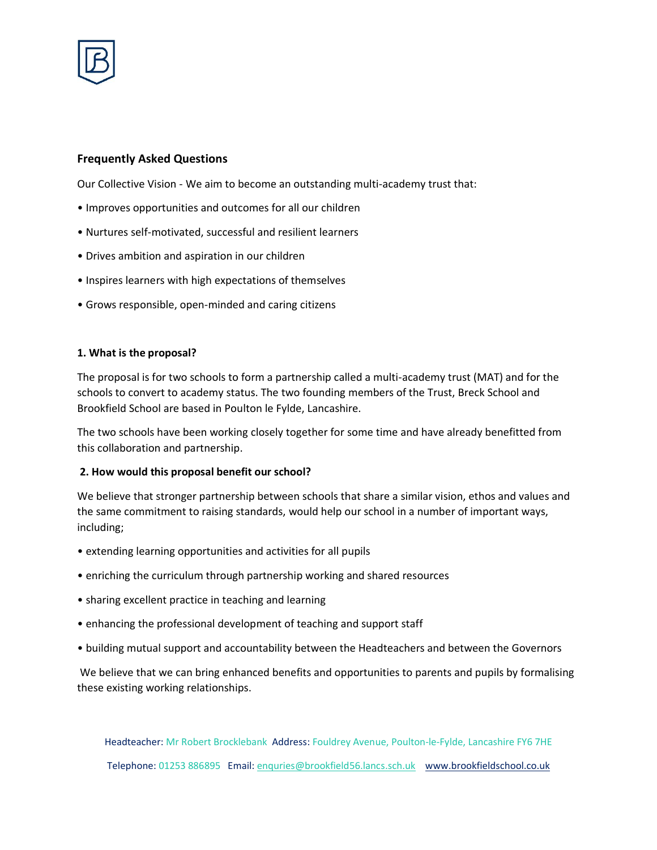

# **Frequently Asked Questions**

Our Collective Vision - We aim to become an outstanding multi-academy trust that:

- Improves opportunities and outcomes for all our children
- Nurtures self-motivated, successful and resilient learners
- Drives ambition and aspiration in our children
- Inspires learners with high expectations of themselves
- Grows responsible, open-minded and caring citizens

#### **1. What is the proposal?**

The proposal is for two schools to form a partnership called a multi-academy trust (MAT) and for the schools to convert to academy status. The two founding members of the Trust, Breck School and Brookfield School are based in Poulton le Fylde, Lancashire.

The two schools have been working closely together for some time and have already benefitted from this collaboration and partnership.

#### **2. How would this proposal benefit our school?**

We believe that stronger partnership between schools that share a similar vision, ethos and values and the same commitment to raising standards, would help our school in a number of important ways, including;

- extending learning opportunities and activities for all pupils
- enriching the curriculum through partnership working and shared resources
- sharing excellent practice in teaching and learning
- enhancing the professional development of teaching and support staff
- building mutual support and accountability between the Headteachers and between the Governors

We believe that we can bring enhanced benefits and opportunities to parents and pupils by formalising these existing working relationships.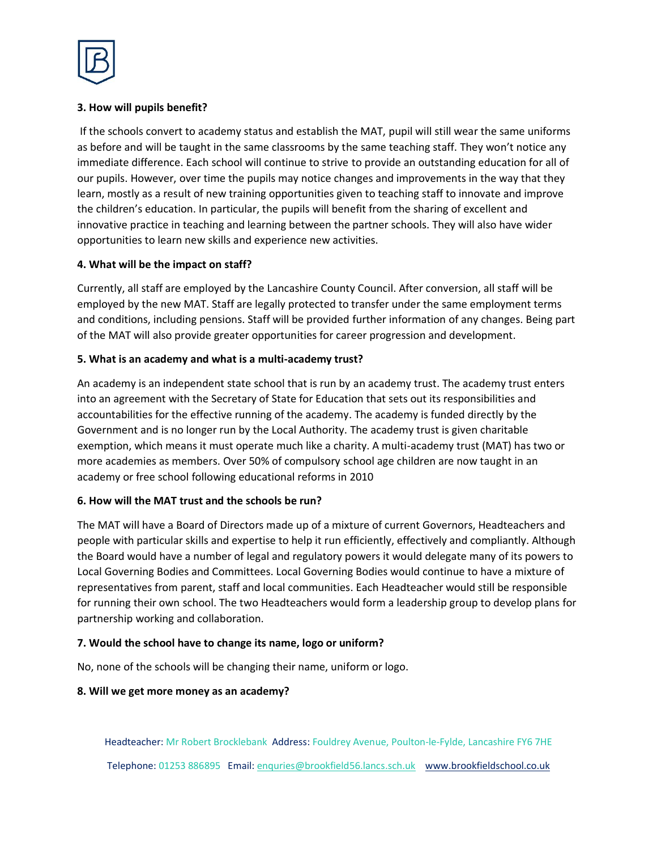

## **3. How will pupils benefit?**

If the schools convert to academy status and establish the MAT, pupil will still wear the same uniforms as before and will be taught in the same classrooms by the same teaching staff. They won't notice any immediate difference. Each school will continue to strive to provide an outstanding education for all of our pupils. However, over time the pupils may notice changes and improvements in the way that they learn, mostly as a result of new training opportunities given to teaching staff to innovate and improve the children's education. In particular, the pupils will benefit from the sharing of excellent and innovative practice in teaching and learning between the partner schools. They will also have wider opportunities to learn new skills and experience new activities.

### **4. What will be the impact on staff?**

Currently, all staff are employed by the Lancashire County Council. After conversion, all staff will be employed by the new MAT. Staff are legally protected to transfer under the same employment terms and conditions, including pensions. Staff will be provided further information of any changes. Being part of the MAT will also provide greater opportunities for career progression and development.

## **5. What is an academy and what is a multi-academy trust?**

An academy is an independent state school that is run by an academy trust. The academy trust enters into an agreement with the Secretary of State for Education that sets out its responsibilities and accountabilities for the effective running of the academy. The academy is funded directly by the Government and is no longer run by the Local Authority. The academy trust is given charitable exemption, which means it must operate much like a charity. A multi-academy trust (MAT) has two or more academies as members. Over 50% of compulsory school age children are now taught in an academy or free school following educational reforms in 2010

### **6. How will the MAT trust and the schools be run?**

The MAT will have a Board of Directors made up of a mixture of current Governors, Headteachers and people with particular skills and expertise to help it run efficiently, effectively and compliantly. Although the Board would have a number of legal and regulatory powers it would delegate many of its powers to Local Governing Bodies and Committees. Local Governing Bodies would continue to have a mixture of representatives from parent, staff and local communities. Each Headteacher would still be responsible for running their own school. The two Headteachers would form a leadership group to develop plans for partnership working and collaboration.

### **7. Would the school have to change its name, logo or uniform?**

No, none of the schools will be changing their name, uniform or logo.

### **8. Will we get more money as an academy?**

Headteacher: Mr Robert Brocklebank Address: Fouldrey Avenue, Poulton-le-Fylde, Lancashire FY6 7HE

Telephone: 01253 886895 Email[: enquries@brookfield56.lancs.sch.uk](mailto:enquries@brookfield56.lancs.sch.uk) www.brookfieldschool.co.uk